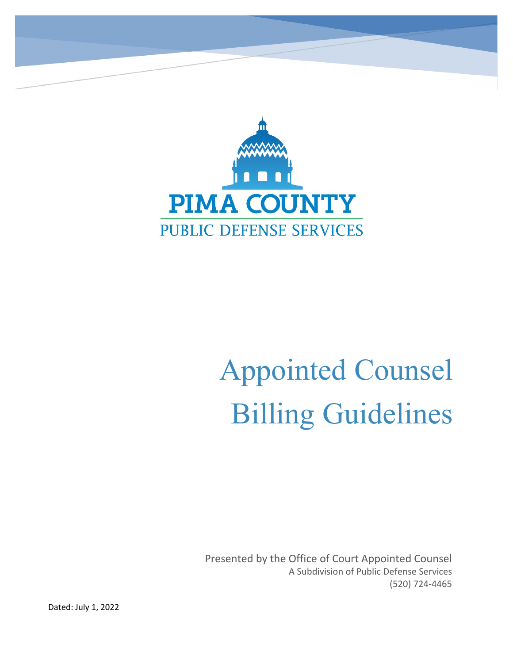

# Appointed Counsel Billing Guidelines

Presented by the Office of Court Appointed Counsel A Subdivision of Public Defense Services (520) 724-4465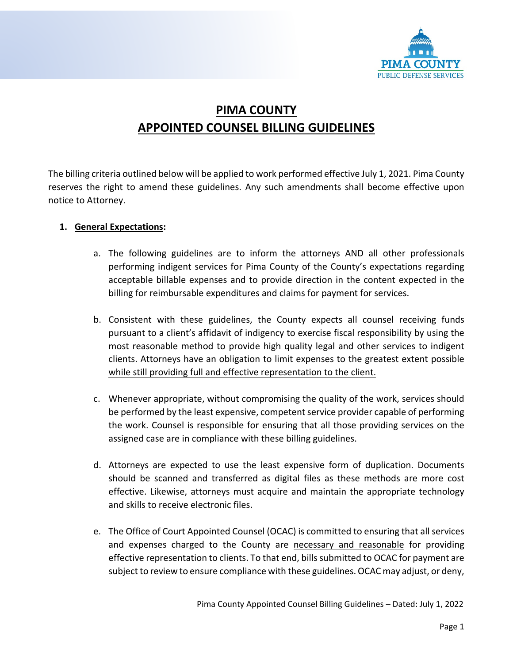

## **PIMA COUNTY APPOINTED COUNSEL BILLING GUIDELINES**

The billing criteria outlined below will be applied to work performed effective July 1, 2021. Pima County reserves the right to amend these guidelines. Any such amendments shall become effective upon notice to Attorney.

#### **1. General Expectations:**

- a. The following guidelines are to inform the attorneys AND all other professionals performing indigent services for Pima County of the County's expectations regarding acceptable billable expenses and to provide direction in the content expected in the billing for reimbursable expenditures and claims for payment for services.
- b. Consistent with these guidelines, the County expects all counsel receiving funds pursuant to a client's affidavit of indigency to exercise fiscal responsibility by using the most reasonable method to provide high quality legal and other services to indigent clients. Attorneys have an obligation to limit expenses to the greatest extent possible while still providing full and effective representation to the client.
- c. Whenever appropriate, without compromising the quality of the work, services should be performed by the least expensive, competent service provider capable of performing the work. Counsel is responsible for ensuring that all those providing services on the assigned case are in compliance with these billing guidelines.
- d. Attorneys are expected to use the least expensive form of duplication. Documents should be scanned and transferred as digital files as these methods are more cost effective. Likewise, attorneys must acquire and maintain the appropriate technology and skills to receive electronic files.
- e. The Office of Court Appointed Counsel (OCAC) is committed to ensuring that all services and expenses charged to the County are necessary and reasonable for providing effective representation to clients. To that end, bills submitted to OCAC for payment are subject to review to ensure compliance with these guidelines. OCAC may adjust, or deny,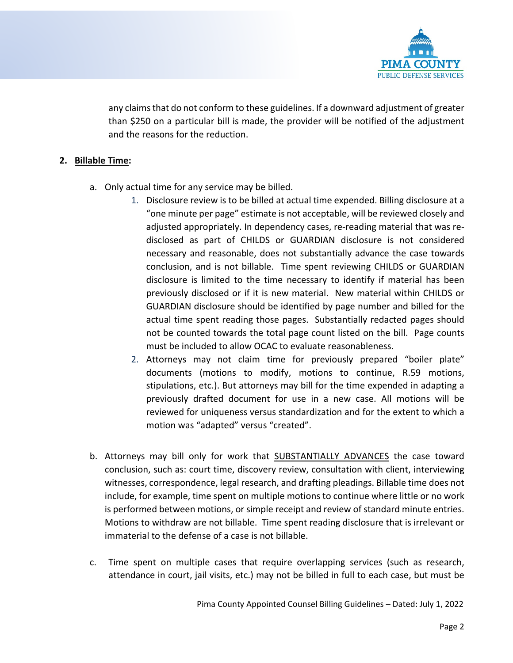

any claims that do not conform to these guidelines. If a downward adjustment of greater than \$250 on a particular bill is made, the provider will be notified of the adjustment and the reasons for the reduction.

#### **2. Billable Time:**

- a. Only actual time for any service may be billed.
	- 1. Disclosure review is to be billed at actual time expended. Billing disclosure at a "one minute per page" estimate is not acceptable, will be reviewed closely and adjusted appropriately. In dependency cases, re-reading material that was redisclosed as part of CHILDS or GUARDIAN disclosure is not considered necessary and reasonable, does not substantially advance the case towards conclusion, and is not billable. Time spent reviewing CHILDS or GUARDIAN disclosure is limited to the time necessary to identify if material has been previously disclosed or if it is new material. New material within CHILDS or GUARDIAN disclosure should be identified by page number and billed for the actual time spent reading those pages. Substantially redacted pages should not be counted towards the total page count listed on the bill. Page counts must be included to allow OCAC to evaluate reasonableness.
	- 2. Attorneys may not claim time for previously prepared "boiler plate" documents (motions to modify, motions to continue, R.59 motions, stipulations, etc.). But attorneys may bill for the time expended in adapting a previously drafted document for use in a new case. All motions will be reviewed for uniqueness versus standardization and for the extent to which a motion was "adapted" versus "created".
- b. Attorneys may bill only for work that SUBSTANTIALLY ADVANCES the case toward conclusion, such as: court time, discovery review, consultation with client, interviewing witnesses, correspondence, legal research, and drafting pleadings. Billable time does not include, for example, time spent on multiple motions to continue where little or no work is performed between motions, or simple receipt and review of standard minute entries. Motions to withdraw are not billable. Time spent reading disclosure that is irrelevant or immaterial to the defense of a case is not billable.
- c. Time spent on multiple cases that require overlapping services (such as research, attendance in court, jail visits, etc.) may not be billed in full to each case, but must be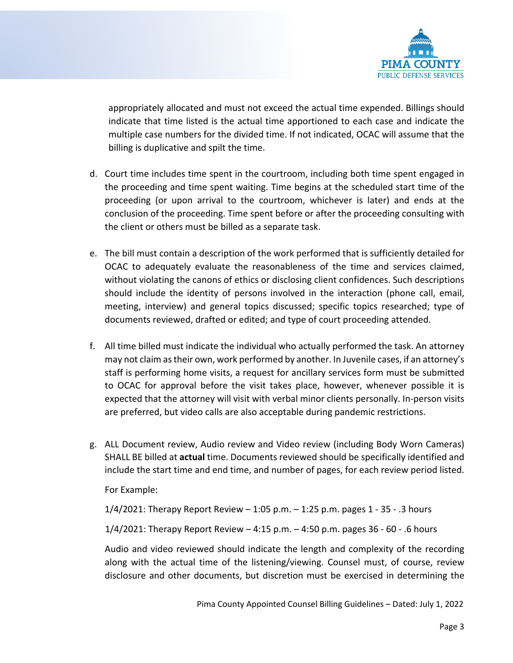

appropriately allocated and must not exceed the actual time expended. Billings should indicate that time listed is the actual time apportioned to each case and indicate the multiple case numbers for the divided time. If not indicated, OCAC will assume that the billing is duplicative and spilt the time.

- d. Court time includes time spent in the courtroom, including both time spent engaged in the proceeding and time spent waiting. Time begins at the scheduled start time of the proceeding (or upon arrival to the courtroom, whichever is later) and ends at the conclusion of the proceeding. Time spent before or after the proceeding consulting with the client or others must be billed as a separate task.
- e. The bill must contain a description of the work performed that is sufficiently detailed for OCAC to adequately evaluate the reasonableness of the time and services claimed, without violating the canons of ethics or disclosing client confidences. Such descriptions should include the identity of persons involved in the interaction (phone call, email, meeting, interview) and general topics discussed; specific topics researched; type of documents reviewed, drafted or edited; and type of court proceeding attended.
- f. All time billed must indicate the individual who actually performed the task. An attorney may not claim as their own, work performed by another. In Juvenile cases, if an attorney's staff is performing home visits, a request for ancillary services form must be submitted to OCAC for approval before the visit takes place, however, whenever possible it is expected that the attorney will visit with verbal minor clients personally. In-person visits are preferred, but video calls are also acceptable during pandemic restrictions.
- g. ALL Document review, Audio review and Video review (including Body Worn Cameras) SHALL BE billed at **actual** time. Documents reviewed should be specifically identified and include the start time and end time, and number of pages, for each review period listed.

For Example:

1/4/2021: Therapy Report Review – 1:05 p.m. – 1:25 p.m. pages 1 - 35 - .3 hours 1/4/2021: Therapy Report Review – 4:15 p.m. – 4:50 p.m. pages 36 - 60 - .6 hours

Audio and video reviewed should indicate the length and complexity of the recording along with the actual time of the listening/viewing. Counsel must, of course, review disclosure and other documents, but discretion must be exercised in determining the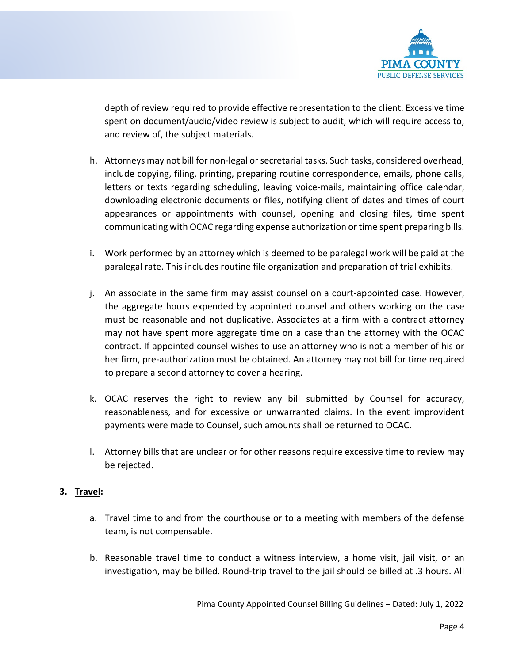

depth of review required to provide effective representation to the client. Excessive time spent on document/audio/video review is subject to audit, which will require access to, and review of, the subject materials.

- h. Attorneys may not bill for non-legal or secretarial tasks. Such tasks, considered overhead, include copying, filing, printing, preparing routine correspondence, emails, phone calls, letters or texts regarding scheduling, leaving voice-mails, maintaining office calendar, downloading electronic documents or files, notifying client of dates and times of court appearances or appointments with counsel, opening and closing files, time spent communicating with OCAC regarding expense authorization or time spent preparing bills.
- i. Work performed by an attorney which is deemed to be paralegal work will be paid at the paralegal rate. This includes routine file organization and preparation of trial exhibits.
- j. An associate in the same firm may assist counsel on a court-appointed case. However, the aggregate hours expended by appointed counsel and others working on the case must be reasonable and not duplicative. Associates at a firm with a contract attorney may not have spent more aggregate time on a case than the attorney with the OCAC contract. If appointed counsel wishes to use an attorney who is not a member of his or her firm, pre-authorization must be obtained. An attorney may not bill for time required to prepare a second attorney to cover a hearing.
- k. OCAC reserves the right to review any bill submitted by Counsel for accuracy, reasonableness, and for excessive or unwarranted claims. In the event improvident payments were made to Counsel, such amounts shall be returned to OCAC.
- l. Attorney bills that are unclear or for other reasons require excessive time to review may be rejected.

#### **3. Travel:**

- a. Travel time to and from the courthouse or to a meeting with members of the defense team, is not compensable.
- b. Reasonable travel time to conduct a witness interview, a home visit, jail visit, or an investigation, may be billed. Round-trip travel to the jail should be billed at .3 hours. All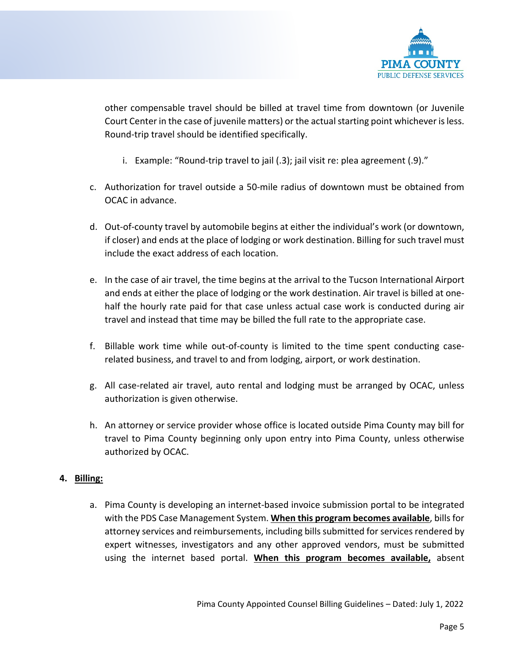

other compensable travel should be billed at travel time from downtown (or Juvenile Court Center in the case of juvenile matters) or the actual starting point whichever is less. Round-trip travel should be identified specifically.

- i. Example: "Round-trip travel to jail (.3); jail visit re: plea agreement (.9)."
- c. Authorization for travel outside a 50-mile radius of downtown must be obtained from OCAC in advance.
- d. Out-of-county travel by automobile begins at either the individual's work (or downtown, if closer) and ends at the place of lodging or work destination. Billing for such travel must include the exact address of each location.
- e. In the case of air travel, the time begins at the arrival to the Tucson International Airport and ends at either the place of lodging or the work destination. Air travel is billed at onehalf the hourly rate paid for that case unless actual case work is conducted during air travel and instead that time may be billed the full rate to the appropriate case.
- f. Billable work time while out-of-county is limited to the time spent conducting caserelated business, and travel to and from lodging, airport, or work destination.
- g. All case-related air travel, auto rental and lodging must be arranged by OCAC, unless authorization is given otherwise.
- h. An attorney or service provider whose office is located outside Pima County may bill for travel to Pima County beginning only upon entry into Pima County, unless otherwise authorized by OCAC.

#### **4. Billing:**

a. Pima County is developing an internet-based invoice submission portal to be integrated with the PDS Case Management System. **When this program becomes available**, bills for attorney services and reimbursements, including bills submitted for services rendered by expert witnesses, investigators and any other approved vendors, must be submitted using the internet based portal. **When this program becomes available,** absent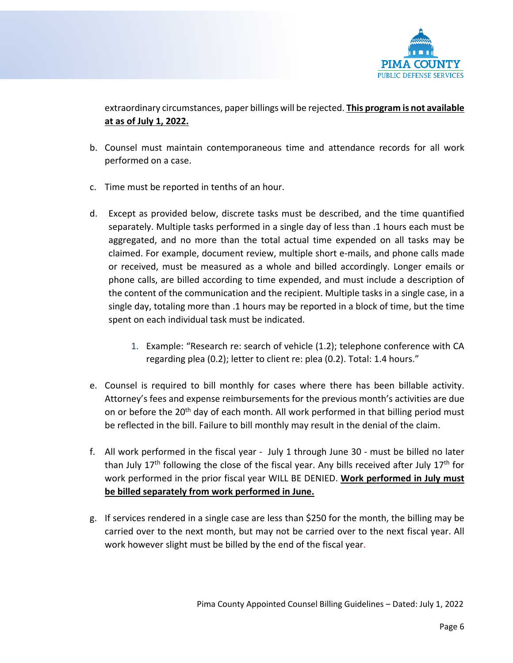

extraordinary circumstances, paper billings will be rejected. **This program is not available at as of July 1, 2022.**

- b. Counsel must maintain contemporaneous time and attendance records for all work performed on a case.
- c. Time must be reported in tenths of an hour.
- d. Except as provided below, discrete tasks must be described, and the time quantified separately. Multiple tasks performed in a single day of less than .1 hours each must be aggregated, and no more than the total actual time expended on all tasks may be claimed. For example, document review, multiple short e-mails, and phone calls made or received, must be measured as a whole and billed accordingly. Longer emails or phone calls, are billed according to time expended, and must include a description of the content of the communication and the recipient. Multiple tasks in a single case, in a single day, totaling more than .1 hours may be reported in a block of time, but the time spent on each individual task must be indicated.
	- 1. Example: "Research re: search of vehicle (1.2); telephone conference with CA regarding plea (0.2); letter to client re: plea (0.2). Total: 1.4 hours."
- e. Counsel is required to bill monthly for cases where there has been billable activity. Attorney's fees and expense reimbursements for the previous month's activities are due on or before the 20<sup>th</sup> day of each month. All work performed in that billing period must be reflected in the bill. Failure to bill monthly may result in the denial of the claim.
- f. All work performed in the fiscal year July 1 through June 30 must be billed no later than July  $17<sup>th</sup>$  following the close of the fiscal year. Any bills received after July  $17<sup>th</sup>$  for work performed in the prior fiscal year WILL BE DENIED. **Work performed in July must be billed separately from work performed in June.**
- g. If services rendered in a single case are less than \$250 for the month, the billing may be carried over to the next month, but may not be carried over to the next fiscal year. All work however slight must be billed by the end of the fiscal year.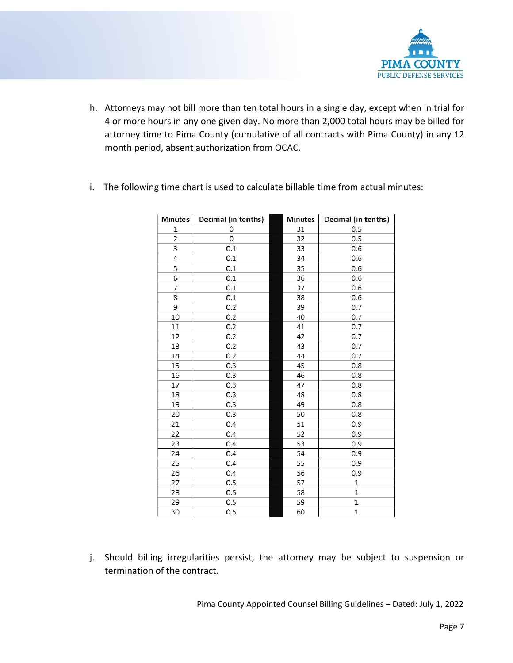

h. Attorneys may not bill more than ten total hours in a single day, except when in trial for 4 or more hours in any one given day. No more than 2,000 total hours may be billed for attorney time to Pima County (cumulative of all contracts with Pima County) in any 12 month period, absent authorization from OCAC.

| <b>Minutes</b> | Decimal (in tenths) | <b>Minutes</b> | Decimal (in tenths) |
|----------------|---------------------|----------------|---------------------|
| 1              | 0                   | 31             | 0.5                 |
| $\overline{2}$ | 0                   | 32             | 0.5                 |
| 3              | 0.1                 | 33             | 0.6                 |
| 4              | 0.1                 | 34             | 0.6                 |
| 5              | 0.1                 | 35             | 0.6                 |
| 6              | 0.1                 | 36             | 0.6                 |
| 7              | 0.1                 | 37             | 0.6                 |
| 8              | 0.1                 | 38             | 0.6                 |
| 9              | 0.2                 | 39             | 0.7                 |
| 10             | 0.2                 | 40             | 0.7                 |
| 11             | 0.2                 | 41             | 0.7                 |
| 12             | 0.2                 | 42             | 0.7                 |
| 13             | 0.2                 | 43             | 0.7                 |
| 14             | 0.2                 | 44             | 0.7                 |
| 15             | 0.3                 | 45             | 0.8                 |
| 16             | 0.3                 | 46             | 0.8                 |
| 17             | 0.3                 | 47             | 0.8                 |
| 18             | 0.3                 | 48             | 0.8                 |
| 19             | 0.3                 | 49             | 0.8                 |
| 20             | 0.3                 | 50             | 0.8                 |
| 21             | 0.4                 | 51             | 0.9                 |
| 22             | 0.4                 | 52             | 0.9                 |
| 23             | 0.4                 | 53             | 0.9                 |
| 24             | 0.4                 | 54             | 0.9                 |
| 25             | 0.4                 | 55             | 0.9                 |
| 26             | 0.4                 | 56             | 0.9                 |
| 27             | 0.5                 | 57             | $\mathbf{1}$        |
| 28             | 0.5                 | 58             | $\mathbf{1}$        |
| 29             | 0.5                 | 59             | $\mathbf{1}$        |
| 30             | 0.5                 | 60             | $\mathbf{1}$        |

i. The following time chart is used to calculate billable time from actual minutes:

j. Should billing irregularities persist, the attorney may be subject to suspension or termination of the contract.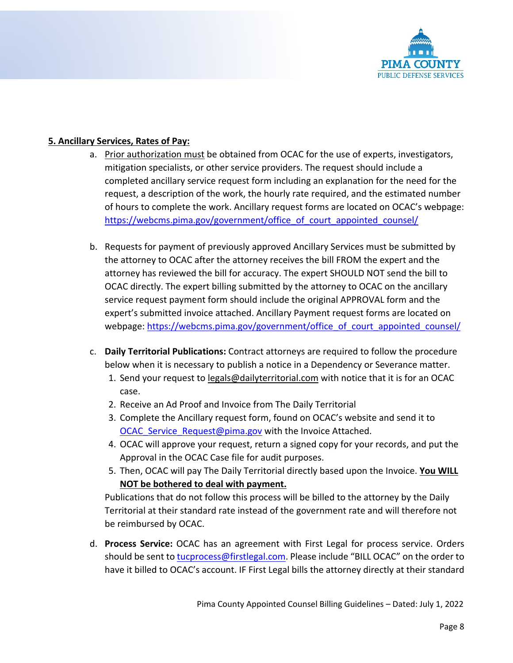

#### **5. Ancillary Services, Rates of Pay:**

- a. Prior authorization must be obtained from OCAC for the use of experts, investigators, mitigation specialists, or other service providers. The request should include a completed ancillary service request form including an explanation for the need for the request, a description of the work, the hourly rate required, and the estimated number of hours to complete the work. Ancillary request forms are located on OCAC's webpage: https://webcms.pima.gov/government/office of court appointed counsel/
- b. Requests for payment of previously approved Ancillary Services must be submitted by the attorney to OCAC after the attorney receives the bill FROM the expert and the attorney has reviewed the bill for accuracy. The expert SHOULD NOT send the bill to OCAC directly. The expert billing submitted by the attorney to OCAC on the ancillary service request payment form should include the original APPROVAL form and the expert's submitted invoice attached. Ancillary Payment request forms are located on webpage: [https://webcms.pima.gov/government/office\\_of\\_court\\_appointed\\_counsel/](https://webcms.pima.gov/government/office_of_court_appointed_counsel/)
- c. **Daily Territorial Publications:** Contract attorneys are required to follow the procedure below when it is necessary to publish a notice in a Dependency or Severance matter.
	- 1. Send your request to [legals@dailyterritorial.com](mailto:legals@dailyterritorial.com) with notice that it is for an OCAC case.
	- 2. Receive an Ad Proof and Invoice from The Daily Territorial
	- 3. Complete the Ancillary request form, found on OCAC's website and send it to OCAC Service Request@pima.gov with the Invoice Attached.
	- 4. OCAC will approve your request, return a signed copy for your records, and put the Approval in the OCAC Case file for audit purposes.
	- 5. Then, OCAC will pay The Daily Territorial directly based upon the Invoice. **You WILL NOT be bothered to deal with payment.**

Publications that do not follow this process will be billed to the attorney by the Daily Territorial at their standard rate instead of the government rate and will therefore not be reimbursed by OCAC.

d. **Process Service:** OCAC has an agreement with First Legal for process service. Orders should be sent to [tucprocess@firstlegal.com.](mailto:tucprocess@firstlegal.com) Please include "BILL OCAC" on the order to have it billed to OCAC's account. IF First Legal bills the attorney directly at their standard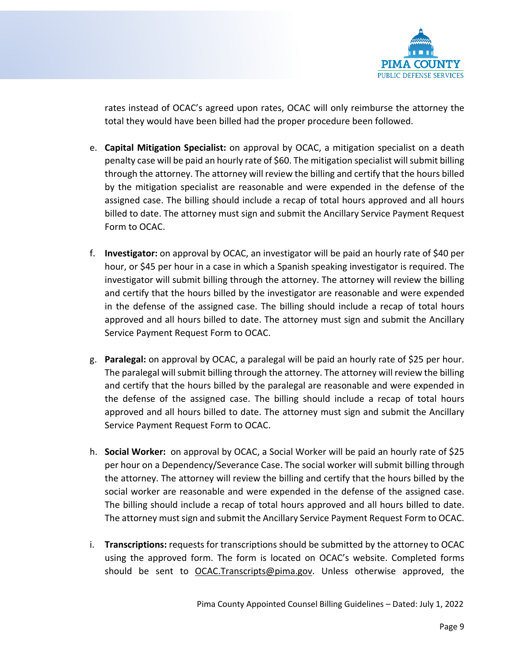

rates instead of OCAC's agreed upon rates, OCAC will only reimburse the attorney the total they would have been billed had the proper procedure been followed.

- e. **Capital Mitigation Specialist:** on approval by OCAC, a mitigation specialist on a death penalty case will be paid an hourly rate of \$60. The mitigation specialist will submit billing through the attorney. The attorney will review the billing and certify that the hours billed by the mitigation specialist are reasonable and were expended in the defense of the assigned case. The billing should include a recap of total hours approved and all hours billed to date. The attorney must sign and submit the Ancillary Service Payment Request Form to OCAC.
- f. **Investigator:** on approval by OCAC, an investigator will be paid an hourly rate of \$40 per hour, or \$45 per hour in a case in which a Spanish speaking investigator is required. The investigator will submit billing through the attorney. The attorney will review the billing and certify that the hours billed by the investigator are reasonable and were expended in the defense of the assigned case. The billing should include a recap of total hours approved and all hours billed to date. The attorney must sign and submit the Ancillary Service Payment Request Form to OCAC.
- g. **Paralegal:** on approval by OCAC, a paralegal will be paid an hourly rate of \$25 per hour. The paralegal will submit billing through the attorney. The attorney will review the billing and certify that the hours billed by the paralegal are reasonable and were expended in the defense of the assigned case. The billing should include a recap of total hours approved and all hours billed to date. The attorney must sign and submit the Ancillary Service Payment Request Form to OCAC.
- h. **Social Worker:** on approval by OCAC, a Social Worker will be paid an hourly rate of \$25 per hour on a Dependency/Severance Case. The social worker will submit billing through the attorney. The attorney will review the billing and certify that the hours billed by the social worker are reasonable and were expended in the defense of the assigned case. The billing should include a recap of total hours approved and all hours billed to date. The attorney must sign and submit the Ancillary Service Payment Request Form to OCAC.
- i. **Transcriptions:** requests for transcriptions should be submitted by the attorney to OCAC using the approved form. The form is located on OCAC's website. Completed forms should be sent to [OCAC.Transcripts@pima.gov.](mailto:OCAC.Transcripts@pima.gov) Unless otherwise approved, the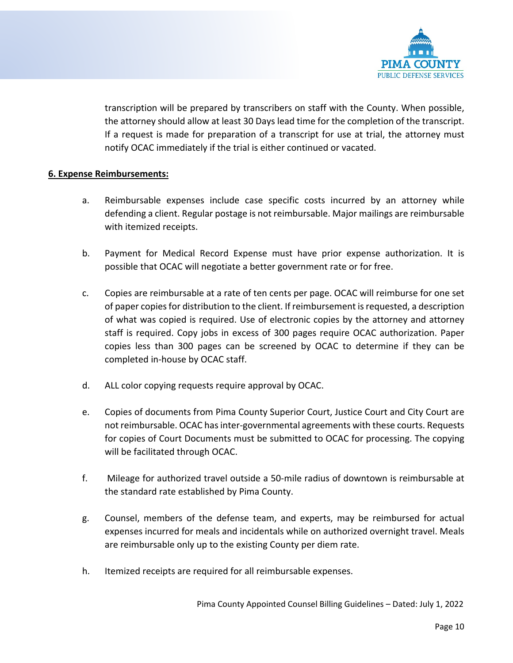

transcription will be prepared by transcribers on staff with the County. When possible, the attorney should allow at least 30 Days lead time for the completion of the transcript. If a request is made for preparation of a transcript for use at trial, the attorney must notify OCAC immediately if the trial is either continued or vacated.

#### **6. Expense Reimbursements:**

- a. Reimbursable expenses include case specific costs incurred by an attorney while defending a client. Regular postage is not reimbursable. Major mailings are reimbursable with itemized receipts.
- b. Payment for Medical Record Expense must have prior expense authorization. It is possible that OCAC will negotiate a better government rate or for free.
- c. Copies are reimbursable at a rate of ten cents per page. OCAC will reimburse for one set of paper copies for distribution to the client. If reimbursement is requested, a description of what was copied is required. Use of electronic copies by the attorney and attorney staff is required. Copy jobs in excess of 300 pages require OCAC authorization. Paper copies less than 300 pages can be screened by OCAC to determine if they can be completed in-house by OCAC staff.
- d. ALL color copying requests require approval by OCAC.
- e. Copies of documents from Pima County Superior Court, Justice Court and City Court are not reimbursable. OCAC has inter-governmental agreements with these courts. Requests for copies of Court Documents must be submitted to OCAC for processing. The copying will be facilitated through OCAC.
- f. Mileage for authorized travel outside a 50-mile radius of downtown is reimbursable at the standard rate established by Pima County.
- g. Counsel, members of the defense team, and experts, may be reimbursed for actual expenses incurred for meals and incidentals while on authorized overnight travel. Meals are reimbursable only up to the existing County per diem rate.
- h. Itemized receipts are required for all reimbursable expenses.